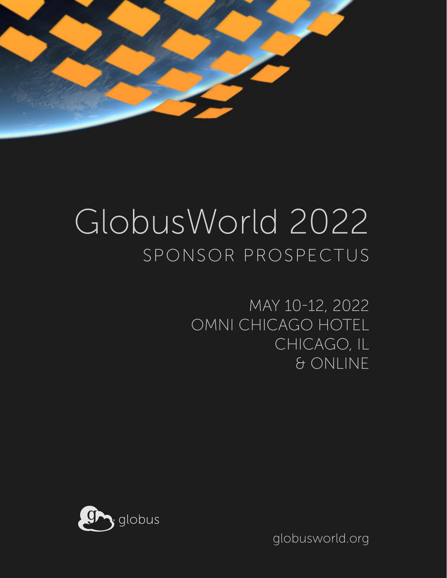

### GlobusWorld 2022 SPONSOR PROSPECTUS

MAY 10-12, 2022 OMNI CHICAGO HOTEL CHICAGO, IL & ONLINE



globusworld.org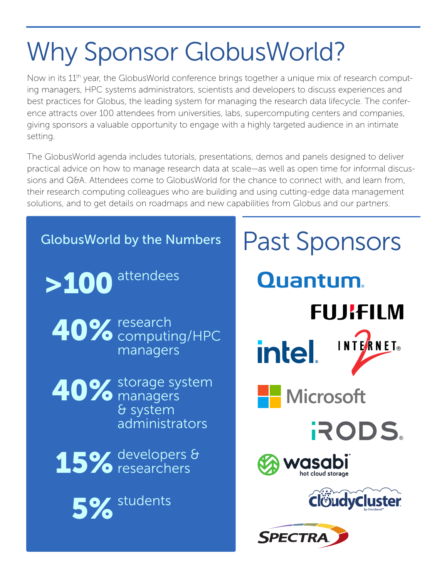## Why Sponsor GlobusWorld?

Now in its 11<sup>th</sup> year, the GlobusWorld conference brings together a unique mix of research computing managers, HPC systems administrators, scientists and developers to discuss experiences and best practices for Globus, the leading system for managing the research data lifecycle. The conference attracts over 100 attendees from universities, labs, supercomputing centers and companies, giving sponsors a valuable opportunity to engage with a highly targeted audience in an intimate setting.

The GlobusWorld agenda includes tutorials, presentations, demos and panels designed to deliver practical advice on how to manage research data at scale—as well as open time for informal discussions and Q&A. Attendees come to GlobusWorld for the chance to connect with, and learn from, their research computing colleagues who are building and using cutting-edge data management solutions, and to get details on roadmaps and new capabilities from Globus and our partners.

#### Past Sponsors GlobusWorld by the Numbers>100 attendees **Quantum. FUJIFILM** 40% research computing/HPC INTERNET® **intel** managers 40% storage system **Nicrosoft** managers & system administrators RODS. 15% developers & *r*asabi researchers hot cloud storage ClöudyCluster 5% students **SPECTR**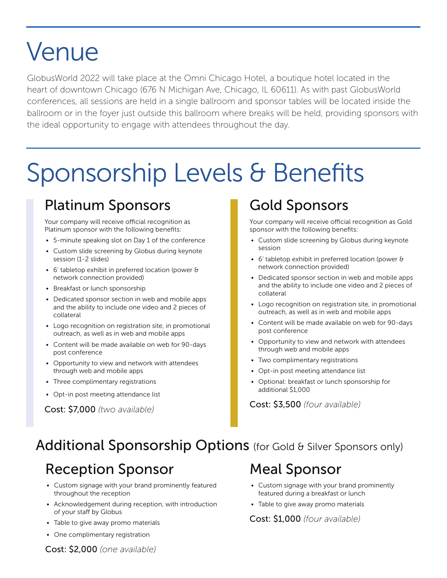### Venue

GlobusWorld 2022 will take place at the Omni Chicago Hotel, a boutique hotel located in the heart of downtown Chicago (676 N Michigan Ave, Chicago, IL 60611). As with past GlobusWorld conferences, all sessions are held in a single ballroom and sponsor tables will be located inside the ballroom or in the foyer just outside this ballroom where breaks will be held, providing sponsors with the ideal opportunity to engage with attendees throughout the day.

### Sponsorship Levels & Benefits

#### Platinum Sponsors

Your company will receive official recognition as Platinum sponsor with the following benefits:

- 5-minute speaking slot on Day 1 of the conference
- Custom slide screening by Globus during keynote session (1-2 slides)
- 6' tabletop exhibit in preferred location (power & network connection provided)
- Breakfast or lunch sponsorship
- Dedicated sponsor section in web and mobile apps and the ability to include one video and 2 pieces of collateral
- Logo recognition on registration site, in promotional outreach, as well as in web and mobile apps
- Content will be made available on web for 90-days post conference
- Opportunity to view and network with attendees through web and mobile apps
- Three complimentary registrations
- Opt-in post meeting attendance list

Cost: \$7,000 *(two available)*

#### Gold Sponsors

Your company will receive official recognition as Gold sponsor with the following benefits:

- Custom slide screening by Globus during keynote session
- 6' tabletop exhibit in preferred location (power & network connection provided)
- Dedicated sponsor section in web and mobile apps and the ability to include one video and 2 pieces of collateral
- Logo recognition on registration site, in promotional outreach, as well as in web and mobile apps
- Content will be made available on web for 90-days post conference
- Opportunity to view and network with attendees through web and mobile apps
- Two complimentary registrations
- Opt-in post meeting attendance list
- Optional: breakfast or lunch sponsorship for additional \$1,000

Cost: \$3,500 *(four available)*

#### Additional Sponsorship Options (for Gold & Silver Sponsors only)

#### Reception Sponsor

- Custom signage with your brand prominently featured throughout the reception
- Acknowledgement during reception, with introduction of your staff by Globus
- Table to give away promo materials
- One complimentary registration

#### Meal Sponsor

- Custom signage with your brand prominently featured during a breakfast or lunch
- Table to give away promo materials

#### Cost: \$1,000 *(four available)*

Cost: \$2,000 *(one available)*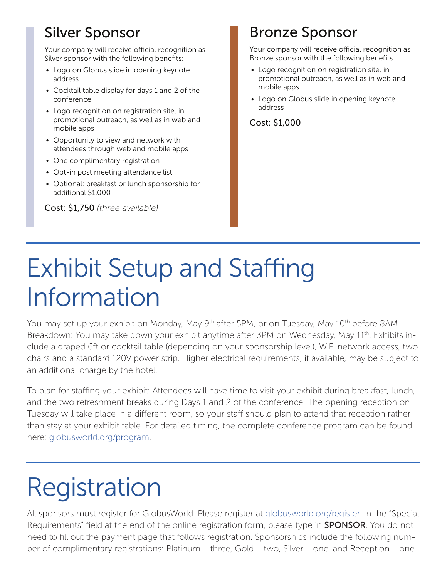### Silver Sponsor

Your company will receive official recognition as Silver sponsor with the following benefits:

- Logo on Globus slide in opening keynote address
- Cocktail table display for days 1 and 2 of the conference
- Logo recognition on registration site, in promotional outreach, as well as in web and mobile apps
- Opportunity to view and network with attendees through web and mobile apps
- One complimentary registration
- Opt-in post meeting attendance list
- Optional: breakfast or lunch sponsorship for additional \$1,000

Cost: \$1,750 *(three available)*

### Bronze Sponsor

Your company will receive official recognition as Bronze sponsor with the following benefits:

- Logo recognition on registration site, in promotional outreach, as well as in web and mobile apps
- Logo on Globus slide in opening keynote address

Cost: \$1,000

### Exhibit Setup and Staffing Information

You may set up your exhibit on Monday, May 9<sup>th</sup> after 5PM, or on Tuesday, May 10<sup>th</sup> before 8AM. Breakdown: You may take down your exhibit anytime after 3PM on Wednesday, May 11<sup>th</sup>. Exhibits include a draped 6ft or cocktail table (depending on your sponsorship level), WiFi network access, two chairs and a standard 120V power strip. Higher electrical requirements, if available, may be subject to an additional charge by the hotel.

To plan for staffing your exhibit: Attendees will have time to visit your exhibit during breakfast, lunch, and the two refreshment breaks during Days 1 and 2 of the conference. The opening reception on Tuesday will take place in a different room, so your staff should plan to attend that reception rather than stay at your exhibit table. For detailed timing, the complete conference program can be found here: globusworld.org/program.

# Registration

All sponsors must register for GlobusWorld. Please register at globusworld.org/register. In the "Special Requirements" field at the end of the online registration form, please type in **SPONSOR**. You do not need to fill out the payment page that follows registration. Sponsorships include the following number of complimentary registrations: Platinum – three, Gold – two, Silver – one, and Reception – one.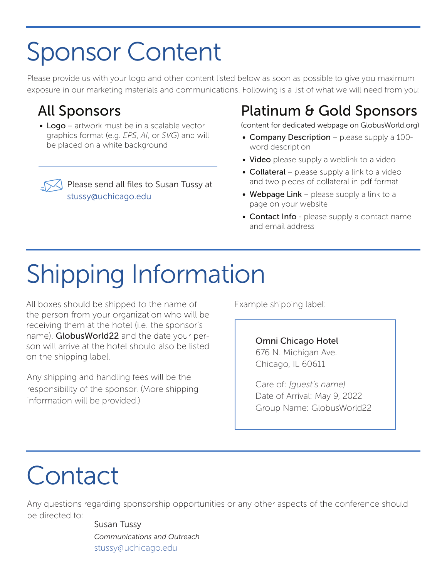### Sponsor Content

Please provide us with your logo and other content listed below as soon as possible to give you maximum exposure in our marketing materials and communications. Following is a list of what we will need from you:

#### All Sponsors

• Logo – artwork must be in a scalable vector graphics format (e.g. *EPS*, *AI*, or *SVG*) and will be placed on a white background

> Please send all files to Susan Tussy at stussy@uchicago.edu

### Platinum & Gold Sponsors

(content for dedicated webpage on GlobusWorld.org)

- Company Description please supply a 100word description
- Video please supply a weblink to a video
- Collateral please supply a link to a video and two pieces of collateral in pdf format
- Webpage Link please supply a link to a page on your website
- Contact Info please supply a contact name and email address

# Shipping Information

All boxes should be shipped to the name of the person from your organization who will be receiving them at the hotel (i.e. the sponsor's name). Globus World 22 and the date your person will arrive at the hotel should also be listed on the shipping label.

Any shipping and handling fees will be the responsibility of the sponsor. (More shipping information will be provided.)

Example shipping label:

Omni Chicago Hotel 676 N. Michigan Ave. Chicago, IL 60611

Care of: *[guest's name]* Date of Arrival: May 9, 2022 Group Name: GlobusWorld22

### **Contact**

Any questions regarding sponsorship opportunities or any other aspects of the conference should be directed to:

> Susan Tussy *Communications and Outreach* stussy@uchicago.edu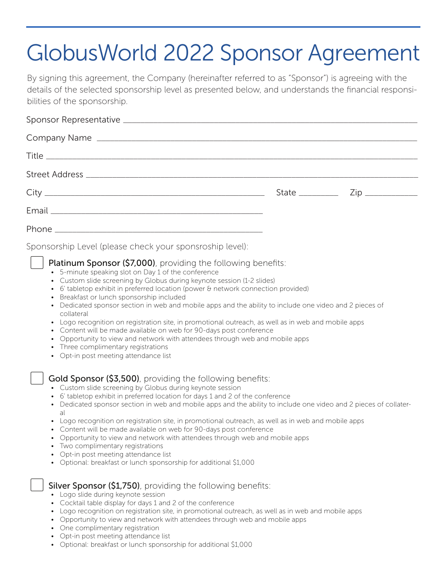### GlobusWorld 2022 Sponsor Agreement

By signing this agreement, the Company (hereinafter referred to as "Sponsor") is agreeing with the details of the selected sponsorship level as presented below, and understands the financial responsibilities of the sponsorship.

| Sponsorship Level (please check your sponsroship level):<br>Platinum Sponsor (\$7,000), providing the following benefits:<br>• 5-minute speaking slot on Day 1 of the conference<br>• Custom slide screening by Globus during keynote session (1-2 slides)<br>• 6' tabletop exhibit in preferred location (power & network connection provided)<br>• Breakfast or lunch sponsorship included<br>• Dedicated sponsor section in web and mobile apps and the ability to include one video and 2 pieces of<br>collateral<br>• Logo recognition on registration site, in promotional outreach, as well as in web and mobile apps<br>• Content will be made available on web for 90-days post conference<br>• Opportunity to view and network with attendees through web and mobile apps<br>• Three complimentary registrations<br>• Opt-in post meeting attendance list |  |
|---------------------------------------------------------------------------------------------------------------------------------------------------------------------------------------------------------------------------------------------------------------------------------------------------------------------------------------------------------------------------------------------------------------------------------------------------------------------------------------------------------------------------------------------------------------------------------------------------------------------------------------------------------------------------------------------------------------------------------------------------------------------------------------------------------------------------------------------------------------------|--|
| Gold Sponsor (\$3,500), providing the following benefits:<br>• Custom slide screening by Globus during keynote session<br>• 6' tabletop exhibit in preferred location for days 1 and 2 of the conference<br>• Dedicated sponsor section in web and mobile apps and the ability to include one video and 2 pieces of collater-<br>$a^{\dagger}$<br>• Logo recognition on registration site, in promotional outreach, as well as in web and mobile apps<br>• Content will be made available on web for 90-days post conference<br>• Opportunity to view and network with attendees through web and mobile apps                                                                                                                                                                                                                                                        |  |

- Two complimentary registrations
- Opt-in post meeting attendance list
- Optional: breakfast or lunch sponsorship for additional \$1,000

#### **Silver Sponsor (\$1,750)**, providing the following benefits:<br>• Logo slide during keynote session

- 
- Cocktail table display for days 1 and 2 of the conference
- Logo recognition on registration site, in promotional outreach, as well as in web and mobile apps
- Opportunity to view and network with attendees through web and mobile apps
- One complimentary registration
- Opt-in post meeting attendance list
- Optional: breakfast or lunch sponsorship for additional \$1,000